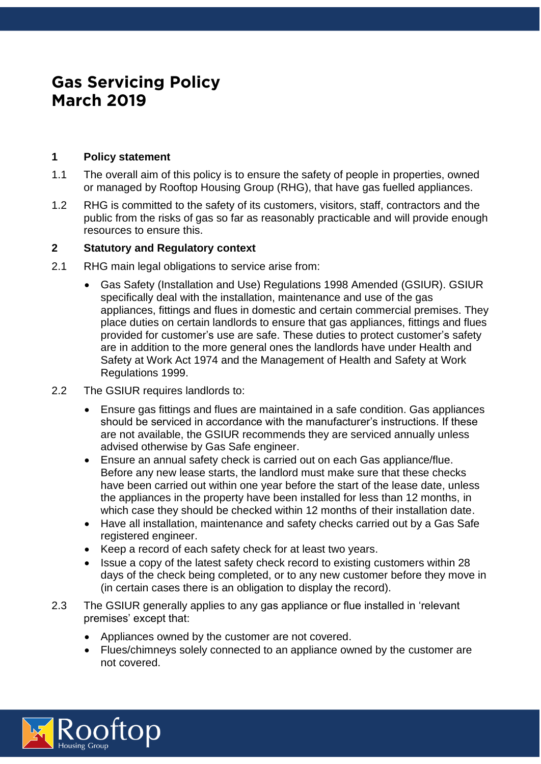# **Gas Servicing Policy March 2019**

# **1 Policy statement**

- 1.1 The overall aim of this policy is to ensure the safety of people in properties, owned or managed by Rooftop Housing Group (RHG), that have gas fuelled appliances.
- 1.2 RHG is committed to the safety of its customers, visitors, staff, contractors and the public from the risks of gas so far as reasonably practicable and will provide enough resources to ensure this.

# **2 Statutory and Regulatory context**

- 2.1 RHG main legal obligations to service arise from:
	- Gas Safety (Installation and Use) Regulations 1998 Amended (GSIUR). GSIUR specifically deal with the installation, maintenance and use of the gas appliances, fittings and flues in domestic and certain commercial premises. They place duties on certain landlords to ensure that gas appliances, fittings and flues provided for customer's use are safe. These duties to protect customer's safety are in addition to the more general ones the landlords have under Health and Safety at Work Act 1974 and the Management of Health and Safety at Work Regulations 1999.
- 2.2 The GSIUR requires landlords to:
	- Ensure gas fittings and flues are maintained in a safe condition. Gas appliances should be serviced in accordance with the manufacturer's instructions. If these are not available, the GSIUR recommends they are serviced annually unless advised otherwise by Gas Safe engineer.
	- Ensure an annual safety check is carried out on each Gas appliance/flue. Before any new lease starts, the landlord must make sure that these checks have been carried out within one year before the start of the lease date, unless the appliances in the property have been installed for less than 12 months, in which case they should be checked within 12 months of their installation date.
	- Have all installation, maintenance and safety checks carried out by a Gas Safe registered engineer.
	- Keep a record of each safety check for at least two years.
	- Issue a copy of the latest safety check record to existing customers within 28 days of the check being completed, or to any new customer before they move in (in certain cases there is an obligation to display the record).
- 2.3 The GSIUR generally applies to any gas appliance or flue installed in 'relevant premises' except that:
	- Appliances owned by the customer are not covered.
	- Flues/chimneys solely connected to an appliance owned by the customer are not covered.

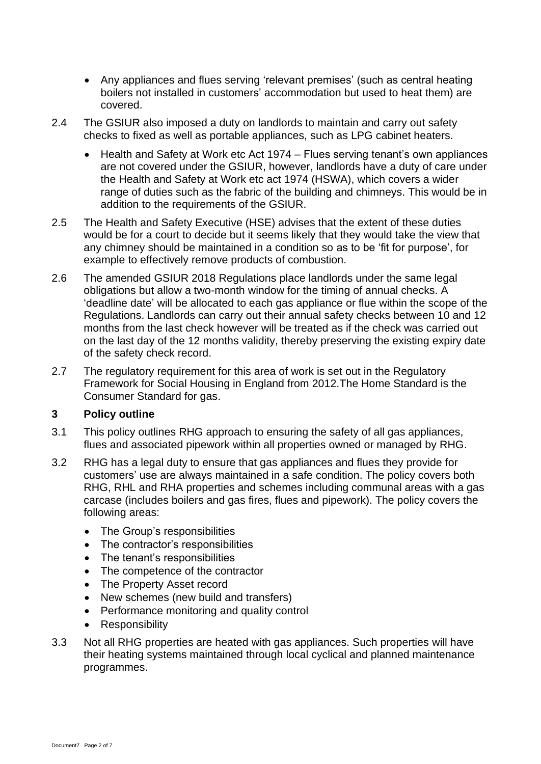- Any appliances and flues serving 'relevant premises' (such as central heating boilers not installed in customers' accommodation but used to heat them) are covered.
- 2.4 The GSIUR also imposed a duty on landlords to maintain and carry out safety checks to fixed as well as portable appliances, such as LPG cabinet heaters.
	- Health and Safety at Work etc Act 1974 Flues serving tenant's own appliances are not covered under the GSIUR, however, landlords have a duty of care under the Health and Safety at Work etc act 1974 (HSWA), which covers a wider range of duties such as the fabric of the building and chimneys. This would be in addition to the requirements of the GSIUR.
- 2.5 The Health and Safety Executive (HSE) advises that the extent of these duties would be for a court to decide but it seems likely that they would take the view that any chimney should be maintained in a condition so as to be 'fit for purpose', for example to effectively remove products of combustion.
- 2.6 The amended GSIUR 2018 Regulations place landlords under the same legal obligations but allow a two-month window for the timing of annual checks. A 'deadline date' will be allocated to each gas appliance or flue within the scope of the Regulations. Landlords can carry out their annual safety checks between 10 and 12 months from the last check however will be treated as if the check was carried out on the last day of the 12 months validity, thereby preserving the existing expiry date of the safety check record.
- 2.7 The regulatory requirement for this area of work is set out in the Regulatory Framework for Social Housing in England from 2012.The Home Standard is the Consumer Standard for gas.

## **3 Policy outline**

- 3.1 This policy outlines RHG approach to ensuring the safety of all gas appliances, flues and associated pipework within all properties owned or managed by RHG.
- 3.2 RHG has a legal duty to ensure that gas appliances and flues they provide for customers' use are always maintained in a safe condition. The policy covers both RHG, RHL and RHA properties and schemes including communal areas with a gas carcase (includes boilers and gas fires, flues and pipework). The policy covers the following areas:
	- The Group's responsibilities
	- The contractor's responsibilities
	- The tenant's responsibilities
	- The competence of the contractor
	- The Property Asset record
	- New schemes (new build and transfers)
	- Performance monitoring and quality control
	- Responsibility
- 3.3 Not all RHG properties are heated with gas appliances. Such properties will have their heating systems maintained through local cyclical and planned maintenance programmes.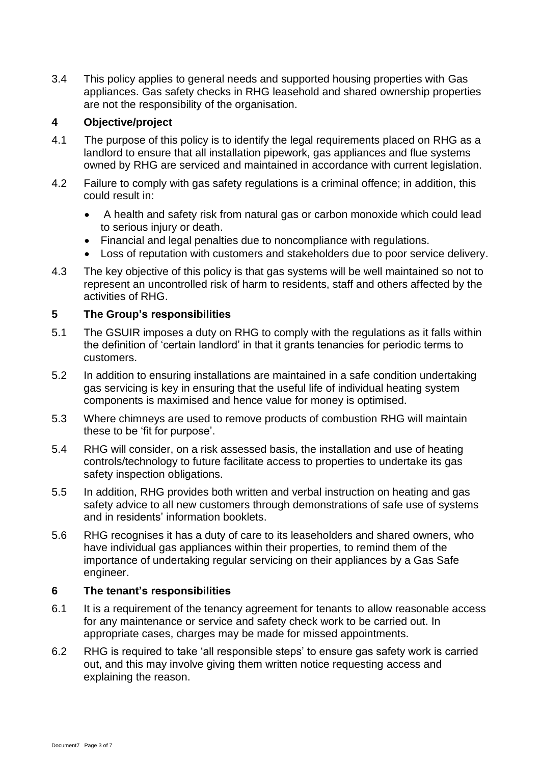3.4 This policy applies to general needs and supported housing properties with Gas appliances. Gas safety checks in RHG leasehold and shared ownership properties are not the responsibility of the organisation.

## **4 Objective/project**

- 4.1 The purpose of this policy is to identify the legal requirements placed on RHG as a landlord to ensure that all installation pipework, gas appliances and flue systems owned by RHG are serviced and maintained in accordance with current legislation.
- 4.2 Failure to comply with gas safety regulations is a criminal offence; in addition, this could result in:
	- A health and safety risk from natural gas or carbon monoxide which could lead to serious injury or death.
	- Financial and legal penalties due to noncompliance with regulations.
	- Loss of reputation with customers and stakeholders due to poor service delivery.
- 4.3 The key objective of this policy is that gas systems will be well maintained so not to represent an uncontrolled risk of harm to residents, staff and others affected by the activities of RHG.

#### **5 The Group's responsibilities**

- 5.1 The GSUIR imposes a duty on RHG to comply with the regulations as it falls within the definition of 'certain landlord' in that it grants tenancies for periodic terms to customers.
- 5.2 In addition to ensuring installations are maintained in a safe condition undertaking gas servicing is key in ensuring that the useful life of individual heating system components is maximised and hence value for money is optimised.
- 5.3 Where chimneys are used to remove products of combustion RHG will maintain these to be 'fit for purpose'.
- 5.4 RHG will consider, on a risk assessed basis, the installation and use of heating controls/technology to future facilitate access to properties to undertake its gas safety inspection obligations.
- 5.5 In addition, RHG provides both written and verbal instruction on heating and gas safety advice to all new customers through demonstrations of safe use of systems and in residents' information booklets.
- 5.6 RHG recognises it has a duty of care to its leaseholders and shared owners, who have individual gas appliances within their properties, to remind them of the importance of undertaking regular servicing on their appliances by a Gas Safe engineer.

## **6 The tenant's responsibilities**

- 6.1 It is a requirement of the tenancy agreement for tenants to allow reasonable access for any maintenance or service and safety check work to be carried out. In appropriate cases, charges may be made for missed appointments.
- 6.2 RHG is required to take 'all responsible steps' to ensure gas safety work is carried out, and this may involve giving them written notice requesting access and explaining the reason.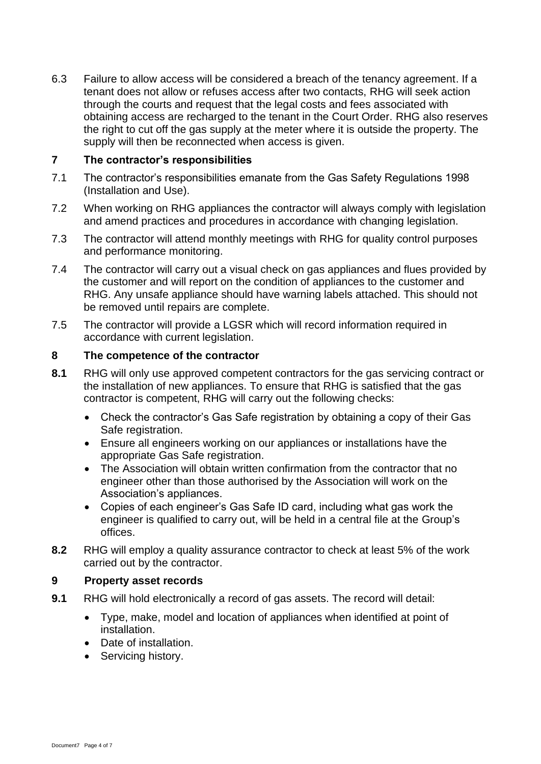6.3 Failure to allow access will be considered a breach of the tenancy agreement. If a tenant does not allow or refuses access after two contacts, RHG will seek action through the courts and request that the legal costs and fees associated with obtaining access are recharged to the tenant in the Court Order. RHG also reserves the right to cut off the gas supply at the meter where it is outside the property. The supply will then be reconnected when access is given.

#### **7 The contractor's responsibilities**

- 7.1 The contractor's responsibilities emanate from the Gas Safety Regulations 1998 (Installation and Use).
- 7.2 When working on RHG appliances the contractor will always comply with legislation and amend practices and procedures in accordance with changing legislation.
- 7.3 The contractor will attend monthly meetings with RHG for quality control purposes and performance monitoring.
- 7.4 The contractor will carry out a visual check on gas appliances and flues provided by the customer and will report on the condition of appliances to the customer and RHG. Any unsafe appliance should have warning labels attached. This should not be removed until repairs are complete.
- 7.5 The contractor will provide a LGSR which will record information required in accordance with current legislation.

#### **8 The competence of the contractor**

- **8.1** RHG will only use approved competent contractors for the gas servicing contract or the installation of new appliances. To ensure that RHG is satisfied that the gas contractor is competent, RHG will carry out the following checks:
	- Check the contractor's Gas Safe registration by obtaining a copy of their Gas Safe registration.
	- Ensure all engineers working on our appliances or installations have the appropriate Gas Safe registration.
	- The Association will obtain written confirmation from the contractor that no engineer other than those authorised by the Association will work on the Association's appliances.
	- Copies of each engineer's Gas Safe ID card, including what gas work the engineer is qualified to carry out, will be held in a central file at the Group's offices.
- **8.2** RHG will employ a quality assurance contractor to check at least 5% of the work carried out by the contractor.

#### **9 Property asset records**

- **9.1** RHG will hold electronically a record of gas assets. The record will detail:
	- Type, make, model and location of appliances when identified at point of installation.
	- Date of installation.
	- Servicing history.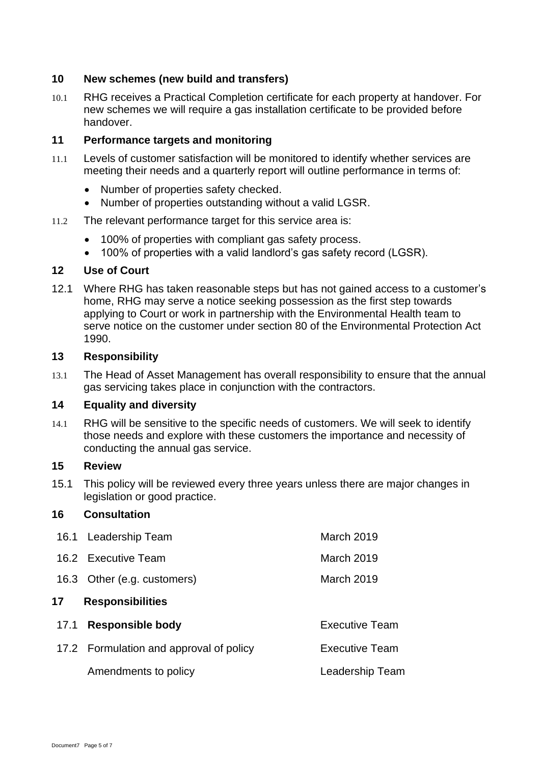## **10 New schemes (new build and transfers)**

10.1 RHG receives a Practical Completion certificate for each property at handover. For new schemes we will require a gas installation certificate to be provided before handover.

## **11 Performance targets and monitoring**

- 11.1 Levels of customer satisfaction will be monitored to identify whether services are meeting their needs and a quarterly report will outline performance in terms of:
	- Number of properties safety checked.
	- Number of properties outstanding without a valid LGSR.
- 11.2 The relevant performance target for this service area is:
	- 100% of properties with compliant gas safety process.
	- 100% of properties with a valid landlord's gas safety record (LGSR).

## **12 Use of Court**

12.1 Where RHG has taken reasonable steps but has not gained access to a customer's home, RHG may serve a notice seeking possession as the first step towards applying to Court or work in partnership with the Environmental Health team to serve notice on the customer under section 80 of the Environmental Protection Act 1990.

#### **13 Responsibility**

13.1 The Head of Asset Management has overall responsibility to ensure that the annual gas servicing takes place in conjunction with the contractors.

## **14 Equality and diversity**

14.1 RHG will be sensitive to the specific needs of customers. We will seek to identify those needs and explore with these customers the importance and necessity of conducting the annual gas service.

#### **15 Review**

15.1 This policy will be reviewed every three years unless there are major changes in legislation or good practice.

## **16 Consultation**

|                               | 16.1 Leadership Team                    | March 2019            |  |
|-------------------------------|-----------------------------------------|-----------------------|--|
|                               | 16.2 Executive Team                     | March 2019            |  |
|                               | 16.3 Other (e.g. customers)             | <b>March 2019</b>     |  |
| <b>Responsibilities</b><br>17 |                                         |                       |  |
| 17.1                          | <b>Responsible body</b>                 | <b>Executive Team</b> |  |
|                               | 17.2 Formulation and approval of policy | <b>Executive Team</b> |  |
|                               | Amendments to policy                    | Leadership Team       |  |
|                               |                                         |                       |  |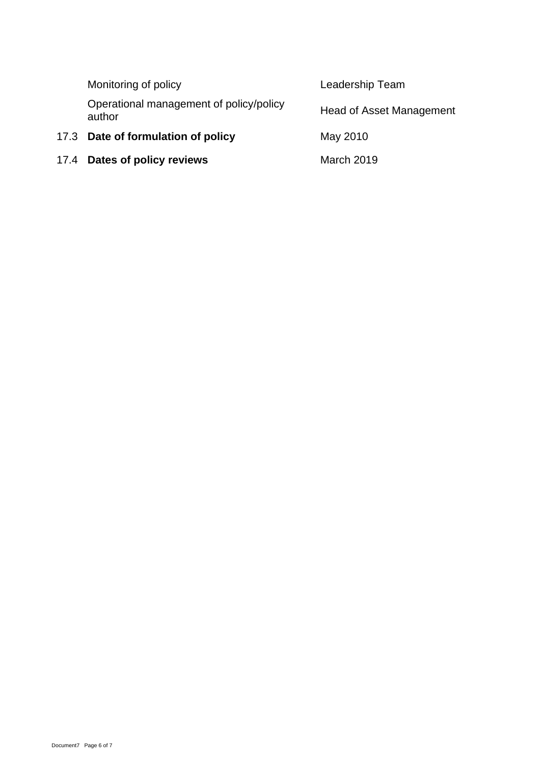| Monitoring of policy                              | Leadership Team          |  |
|---------------------------------------------------|--------------------------|--|
| Operational management of policy/policy<br>author | Head of Asset Management |  |
| 17.3 Date of formulation of policy                | May 2010                 |  |
| 17.4 Dates of policy reviews                      | March 2019               |  |
|                                                   |                          |  |